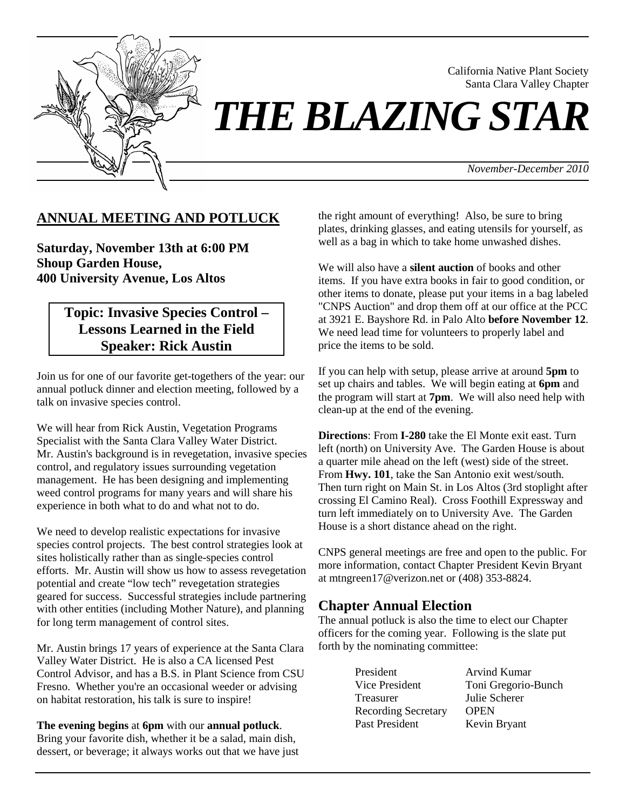

California Native Plant Society Santa Clara Valley Chapter

# *THE BLAZING STAR*

*November-December 2010*

## **ANNUAL MEETING AND POTLUCK**

**Saturday, November 13th at 6:00 PM Shoup Garden House, 400 University Avenue, Los Altos**

# **Topic: Invasive Species Control – Lessons Learned in the Field Speaker: Rick Austin**

Join us for one of our favorite get-togethers of the year: our annual potluck dinner and election meeting, followed by a talk on invasive species control.

We will hear from Rick Austin, Vegetation Programs Specialist with the Santa Clara Valley Water District. Mr. Austin's background is in revegetation, invasive species control, and regulatory issues surrounding vegetation management. He has been designing and implementing weed control programs for many years and will share his experience in both what to do and what not to do.

We need to develop realistic expectations for invasive species control projects. The best control strategies look at sites holistically rather than as single-species control efforts. Mr. Austin will show us how to assess revegetation potential and create "low tech" revegetation strategies geared for success. Successful strategies include partnering with other entities (including Mother Nature), and planning for long term management of control sites.

Mr. Austin brings 17 years of experience at the Santa Clara Valley Water District. He is also a CA licensed Pest Control Advisor, and has a B.S. in Plant Science from CSU Fresno. Whether you're an occasional weeder or advising on habitat restoration, his talk is sure to inspire!

**The evening begins** at **6pm** with our **annual potluck**. Bring your favorite dish, whether it be a salad, main dish, dessert, or beverage; it always works out that we have just the right amount of everything! Also, be sure to bring plates, drinking glasses, and eating utensils for yourself, as well as a bag in which to take home unwashed dishes.

We will also have a **silent auction** of books and other items. If you have extra books in fair to good condition, or other items to donate, please put your items in a bag labeled "CNPS Auction" and drop them off at our office at the PCC at 3921 E. Bayshore Rd. in Palo Alto **before November 12**. We need lead time for volunteers to properly label and price the items to be sold.

If you can help with setup, please arrive at around **5pm** to set up chairs and tables. We will begin eating at **6pm** and the program will start at **7pm**. We will also need help with clean-up at the end of the evening.

**Directions**: From **I-280** take the El Monte exit east. Turn left (north) on University Ave. The Garden House is about a quarter mile ahead on the left (west) side of the street. From **Hwy. 101**, take the San Antonio exit west/south. Then turn right on Main St. in Los Altos (3rd stoplight after crossing El Camino Real). Cross Foothill Expressway and turn left immediately on to University Ave. The Garden House is a short distance ahead on the right.

CNPS general meetings are free and open to the public. For more information, contact Chapter President Kevin Bryant at mtngreen17@verizon.net or (408) 353-8824.

## **Chapter Annual Election**

The annual potluck is also the time to elect our Chapter officers for the coming year. Following is the slate put forth by the nominating committee:

| President                  | Arvind Kumar        |
|----------------------------|---------------------|
| Vice President             | Toni Gregorio-Bunch |
| Treasurer                  | Julie Scherer       |
| <b>Recording Secretary</b> | <b>OPEN</b>         |
| Past President             | Kevin Bryant        |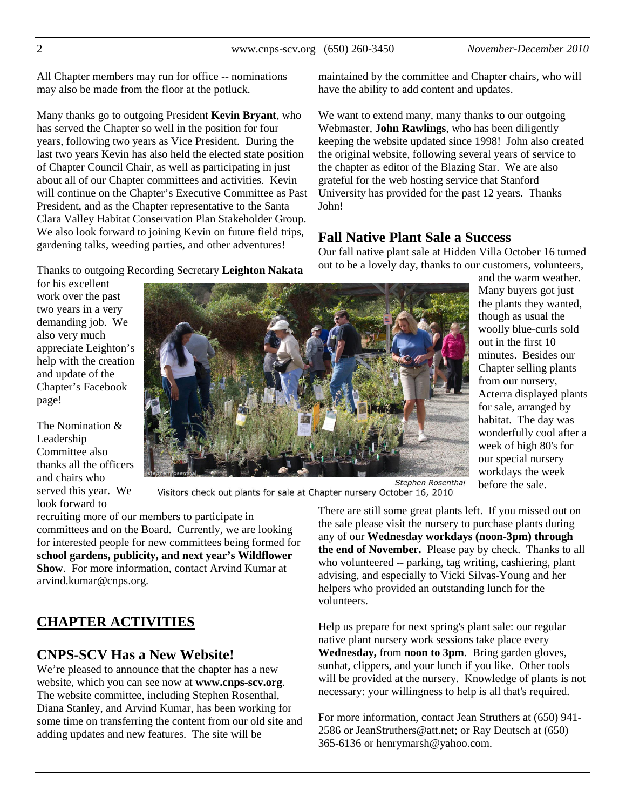All Chapter members may run for office -- nominations may also be made from the floor at the potluck.

Many thanks go to outgoing President **Kevin Bryant**, who has served the Chapter so well in the position for four years, following two years as Vice President. During the last two years Kevin has also held the elected state position of Chapter Council Chair, as well as participating in just about all of our Chapter committees and activities. Kevin will continue on the Chapter's Executive Committee as Past President, and as the Chapter representative to the Santa Clara Valley Habitat Conservation Plan Stakeholder Group. We also look forward to joining Kevin on future field trips, gardening talks, weeding parties, and other adventures!

Thanks to outgoing Recording Secretary **Leighton Nakata**

for his excellent work over the past two years in a very demanding job. We also very much appreciate Leighton's help with the creation and update of the Chapter's Facebook page!

The Nomination & Leadership Committee also thanks all the officers and chairs who served this year. We look forward to



Visitors check out plants for sale at Chapter nursery October 16, 2010

recruiting more of our members to participate in committees and on the Board. Currently, we are looking for interested people for new committees being formed for **school gardens, publicity, and next year's Wildflower Show**. For more information, contact Arvind Kumar at arvind.kumar@cnps.org.

# **CHAPTER ACTIVITIES**

## **CNPS-SCV Has a New Website!**

We're pleased to announce that the chapter has a new website, which you can see now at **www.cnps-scv.org**. The website committee, including Stephen Rosenthal, Diana Stanley, and Arvind Kumar, has been working for some time on transferring the content from our old site and adding updates and new features. The site will be

maintained by the committee and Chapter chairs, who will have the ability to add content and updates.

We want to extend many, many thanks to our outgoing Webmaster, **John Rawlings**, who has been diligently keeping the website updated since 1998! John also created the original website, following several years of service to the chapter as editor of the Blazing Star. We are also grateful for the web hosting service that Stanford University has provided for the past 12 years. Thanks John!

## **Fall Native Plant Sale a Success**

Our fall native plant sale at Hidden Villa October 16 turned out to be a lovely day, thanks to our customers, volunteers,

and the warm weather. Many buyers got just the plants they wanted, though as usual the woolly blue-curls sold out in the first 10 minutes. Besides our Chapter selling plants from our nursery, Acterra displayed plants for sale, arranged by habitat. The day was wonderfully cool after a week of high 80's for our special nursery workdays the week before the sale.

There are still some great plants left. If you missed out on the sale please visit the nursery to purchase plants during any of our **Wednesday workdays (noon-3pm) through** 

**the end of November.** Please pay by check. Thanks to all who volunteered -- parking, tag writing, cashiering, plant advising, and especially to Vicki Silvas-Young and her helpers who provided an outstanding lunch for the volunteers.

Help us prepare for next spring's plant sale: our regular native plant nursery work sessions take place every **Wednesday,** from **noon to 3pm**. Bring garden gloves, sunhat, clippers, and your lunch if you like. Other tools will be provided at the nursery. Knowledge of plants is not necessary: your willingness to help is all that's required.

For more information, contact Jean Struthers at (650) 941- 2586 or JeanStruthers@att.net; or Ray Deutsch at (650) 365-6136 or henrymarsh@yahoo.com.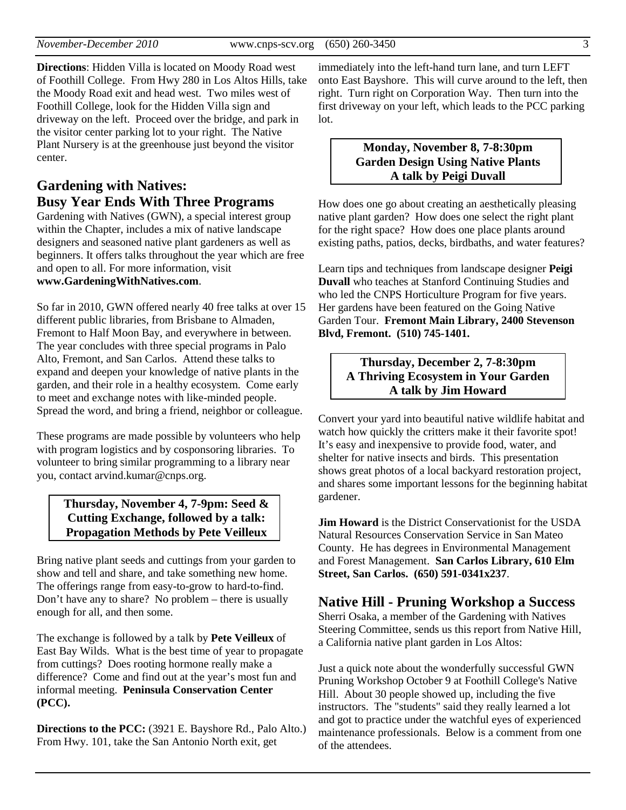**Directions**: Hidden Villa is located on Moody Road west of Foothill College. From Hwy 280 in Los Altos Hills, take the Moody Road exit and head west. Two miles west of Foothill College, look for the Hidden Villa sign and driveway on the left. Proceed over the bridge, and park in the visitor center parking lot to your right. The Native Plant Nursery is at the greenhouse just beyond the visitor center.

# **Gardening with Natives: Busy Year Ends With Three Programs**

Gardening with Natives (GWN), a special interest group within the Chapter, includes a mix of native landscape designers and seasoned native plant gardeners as well as beginners. It offers talks throughout the year which are free and open to all. For more information, visit **www.GardeningWithNatives.com**.

So far in 2010, GWN offered nearly 40 free talks at over 15 different public libraries, from Brisbane to Almaden, Fremont to Half Moon Bay, and everywhere in between. The year concludes with three special programs in Palo Alto, Fremont, and San Carlos. Attend these talks to expand and deepen your knowledge of native plants in the garden, and their role in a healthy ecosystem. Come early to meet and exchange notes with like-minded people. Spread the word, and bring a friend, neighbor or colleague.

These programs are made possible by volunteers who help with program logistics and by cosponsoring libraries. To volunteer to bring similar programming to a library near you, contact arvind.kumar@cnps.org.

#### **Thursday, November 4, 7-9pm: Seed & Cutting Exchange, followed by a talk: Propagation Methods by Pete Veilleux**

Bring native plant seeds and cuttings from your garden to show and tell and share, and take something new home. The offerings range from easy-to-grow to hard-to-find. Don't have any to share? No problem – there is usually enough for all, and then some.

The exchange is followed by a talk by **Pete Veilleux** of East Bay Wilds. What is the best time of year to propagate from cuttings? Does rooting hormone really make a difference? Come and find out at the year's most fun and informal meeting. **Peninsula Conservation Center (PCC).**

**Directions to the PCC:** (3921 E. Bayshore Rd., Palo Alto.) From Hwy. 101, take the San Antonio North exit, get

immediately into the left-hand turn lane, and turn LEFT onto East Bayshore. This will curve around to the left, then right. Turn right on Corporation Way. Then turn into the first driveway on your left, which leads to the PCC parking lot.

#### **Monday, November 8, 7-8:30pm Garden Design Using Native Plants A talk by Peigi Duvall**

How does one go about creating an aesthetically pleasing native plant garden? How does one select the right plant for the right space? How does one place plants around existing paths, patios, decks, birdbaths, and water features?

Learn tips and techniques from landscape designer **Peigi Duvall** who teaches at Stanford Continuing Studies and who led the CNPS Horticulture Program for five years. Her gardens have been featured on the Going Native Garden Tour. **Fremont Main Library, 2400 Stevenson Blvd, Fremont. (510) 745-1401.**

#### **Thursday, December 2, 7-8:30pm A Thriving Ecosystem in Your Garden A talk by Jim Howard**

Convert your yard into beautiful native wildlife habitat and watch how quickly the critters make it their favorite spot! It's easy and inexpensive to provide food, water, and shelter for native insects and birds. This presentation shows great photos of a local backyard restoration project, and shares some important lessons for the beginning habitat gardener.

**Jim Howard** is the District Conservationist for the USDA Natural Resources Conservation Service in San Mateo County. He has degrees in Environmental Management and Forest Management. **San Carlos Library, 610 Elm Street, San Carlos. (650) 591-0341x237**.

## **Native Hill - Pruning Workshop a Success**

Sherri Osaka, a member of the Gardening with Natives Steering Committee, sends us this report from Native Hill, a California native plant garden in Los Altos:

Just a quick note about the wonderfully successful GWN Pruning Workshop October 9 at Foothill College's Native Hill. About 30 people showed up, including the five instructors. The "students" said they really learned a lot and got to practice under the watchful eyes of experienced maintenance professionals. Below is a comment from one of the attendees.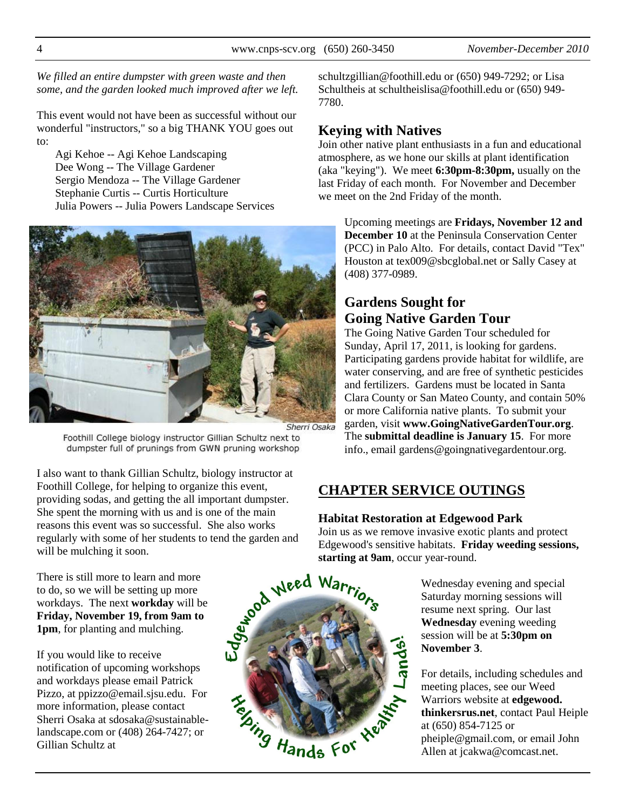*We filled an entire dumpster with green waste and then some, and the garden looked much improved after we left.* 

This event would not have been as successful without our wonderful "instructors," so a big THANK YOU goes out to:

Agi Kehoe -- Agi Kehoe Landscaping Dee Wong -- The Village Gardener Sergio Mendoza -- The Village Gardener Stephanie Curtis -- Curtis Horticulture Julia Powers -- Julia Powers Landscape Services



Foothill College biology instructor Gillian Schultz next to dumpster full of prunings from GWN pruning workshop

I also want to thank Gillian Schultz, biology instructor at Foothill College, for helping to organize this event, providing sodas, and getting the all important dumpster. She spent the morning with us and is one of the main reasons this event was so successful. She also works will be mulching it soon.

There is still more to learn and more to do, so we will be setting up more workdays. The next **workday** will be **Friday, November 19, from 9am to 1pm**, for planting and mulching.

If you would like to receive notification of upcoming workshops and workdays please email Patrick Pizzo, at ppizzo@email.sjsu.edu. For more information, please contact Sherri Osaka at sdosaka@sustainablelandscape.com or (408) 264-7427; or Gillian Schultz at



Telaing Hands For Kent

schultzgillian@foothill.edu or (650) 949-7292; or Lisa Schultheis at schultheislisa@foothill.edu or (650) 949- 7780.

# **Keying with Natives**

Join other native plant enthusiasts in a fun and educational atmosphere, as we hone our skills at plant identification (aka "keying"). We meet **6:30pm-8:30pm,** usually on the last Friday of each month. For November and December we meet on the 2nd Friday of the month.

Upcoming meetings are **Fridays, November 12 and December 10** at the Peninsula Conservation Center (PCC) in Palo Alto. For details, contact David "Tex" Houston at tex009@sbcglobal.net or Sally Casey at (408) 377-0989.

# **Gardens Sought for Going Native Garden Tour**

The Going Native Garden Tour scheduled for Sunday, April 17, 2011, is looking for gardens. Participating gardens provide habitat for wildlife, are water conserving, and are free of synthetic pesticides and fertilizers. Gardens must be located in Santa Clara County or San Mateo County, and contain 50% or more California native plants. To submit your garden, visit **www.GoingNativeGardenTour.org**. The **submittal deadline is January 15**. For more info., email gardens@goingnativegardentour.org.

# **CHAPTER SERVICE OUTINGS**

#### **Habitat Restoration at Edgewood Park**

Join us as we remove invasive exotic plants and protect Edgewood's sensitive habitats. **Friday weeding sessions, starting at 9am**, occur year-round.

> Wednesday evening and special Saturday morning sessions will resume next spring. Our last **Wednesday** evening weeding session will be at **5:30pm on November 3**.

For details, including schedules and meeting places, see our Weed Warriors website at **edgewood. thinkersrus.net**, contact Paul Heiple at (650) 854-7125 or pheiple@gmail.com, or email John Allen at jcakwa@comcast.net.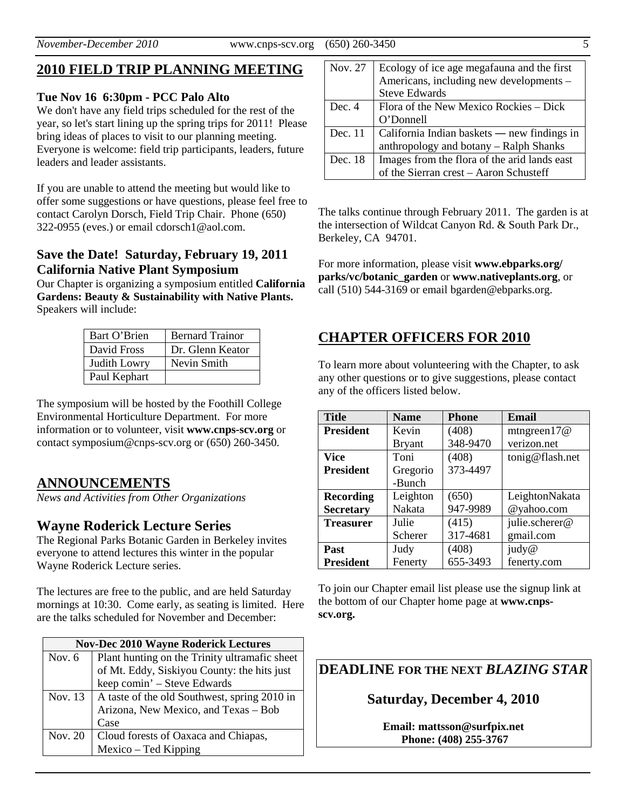# **2010 FIELD TRIP PLANNING MEETING**

#### **Tue Nov 16 6:30pm - PCC Palo Alto**

We don't have any field trips scheduled for the rest of the year, so let's start lining up the spring trips for 2011! Please bring ideas of places to visit to our planning meeting. Everyone is welcome: field trip participants, leaders, future leaders and leader assistants.

If you are unable to attend the meeting but would like to offer some suggestions or have questions, please feel free to contact Carolyn Dorsch, Field Trip Chair. Phone (650) 322-0955 (eves.) or email cdorsch1@aol.com.

#### **Save the Date! Saturday, February 19, 2011 California Native Plant Symposium**

Our Chapter is organizing a symposium entitled **California Gardens: Beauty & Sustainability with Native Plants.** Speakers will include:

| Bart O'Brien | <b>Bernard Trainor</b> |
|--------------|------------------------|
| David Fross  | Dr. Glenn Keator       |
| Judith Lowry | Nevin Smith            |
| Paul Kephart |                        |

The symposium will be hosted by the Foothill College Environmental Horticulture Department. For more information or to volunteer, visit **www.cnps-scv.org** or contact symposium@cnps-scv.org or (650) 260-3450.

## **ANNOUNCEMENTS**

*News and Activities from Other Organizations*

## **Wayne Roderick Lecture Series**

The Regional Parks Botanic Garden in Berkeley invites everyone to attend lectures this winter in the popular Wayne Roderick Lecture series.

The lectures are free to the public, and are held Saturday mornings at 10:30. Come early, as seating is limited. Here are the talks scheduled for November and December:

|          | <b>Nov-Dec 2010 Wayne Roderick Lectures</b>              |
|----------|----------------------------------------------------------|
| Nov. $6$ | Plant hunting on the Trinity ultramafic sheet            |
|          | of Mt. Eddy, Siskiyou County: the hits just              |
|          | keep comin' - Steve Edwards                              |
|          | Nov. 13   A taste of the old Southwest, spring $2010$ in |
|          | Arizona, New Mexico, and Texas - Bob                     |
|          | Case                                                     |
| Nov. 20  | Cloud forests of Oaxaca and Chiapas,                     |
|          | Mexico - Ted Kipping                                     |

| Nov. 27 | Ecology of ice age megafauna and the first   |
|---------|----------------------------------------------|
|         | Americans, including new developments -      |
|         | <b>Steve Edwards</b>                         |
| Dec. 4  | Flora of the New Mexico Rockies – Dick       |
|         | O'Donnell                                    |
| Dec. 11 | California Indian baskets — new findings in  |
|         | anthropology and botany - Ralph Shanks       |
| Dec. 18 | Images from the flora of the arid lands east |
|         | of the Sierran crest - Aaron Schusteff       |

The talks continue through February 2011. The garden is at the intersection of Wildcat Canyon Rd. & South Park Dr., Berkeley, CA 94701.

For more information, please visit **www.ebparks.org/ parks/vc/botanic\_garden** or **www.nativeplants.org**, or call (510) 544-3169 or email bgarden@ebparks.org.

## **CHAPTER OFFICERS FOR 2010**

To learn more about volunteering with the Chapter, to ask any other questions or to give suggestions, please contact any of the officers listed below.

| <b>Title</b>     | <b>Name</b>   | <b>Phone</b> | <b>Email</b>    |
|------------------|---------------|--------------|-----------------|
| <b>President</b> | Kevin         | (408)        | mtngreen $17@$  |
|                  | <b>Bryant</b> | 348-9470     | verizon.net     |
| <b>Vice</b>      | Toni          | (408)        | tonig@flash.net |
| <b>President</b> | Gregorio      | 373-4497     |                 |
|                  | -Bunch        |              |                 |
| <b>Recording</b> | Leighton      | (650)        | LeightonNakata  |
| <b>Secretary</b> | Nakata        | 947-9989     | @yahoo.com      |
| <b>Treasurer</b> | Julie         | (415)        | julie.scherer@  |
|                  | Scherer       | 317-4681     | gmail.com       |
| Past             | Judy          | (408)        | judy@           |
| <b>President</b> | Fenerty       | 655-3493     | fenerty.com     |

To join our Chapter email list please use the signup link at the bottom of our Chapter home page at **www.cnpsscv.org.** 

**DEADLINE FOR THE NEXT** *BLAZING STAR* 

## **Saturday, December 4, 2010**

**Email: mattsson@surfpix.net Phone: (408) 255-3767**